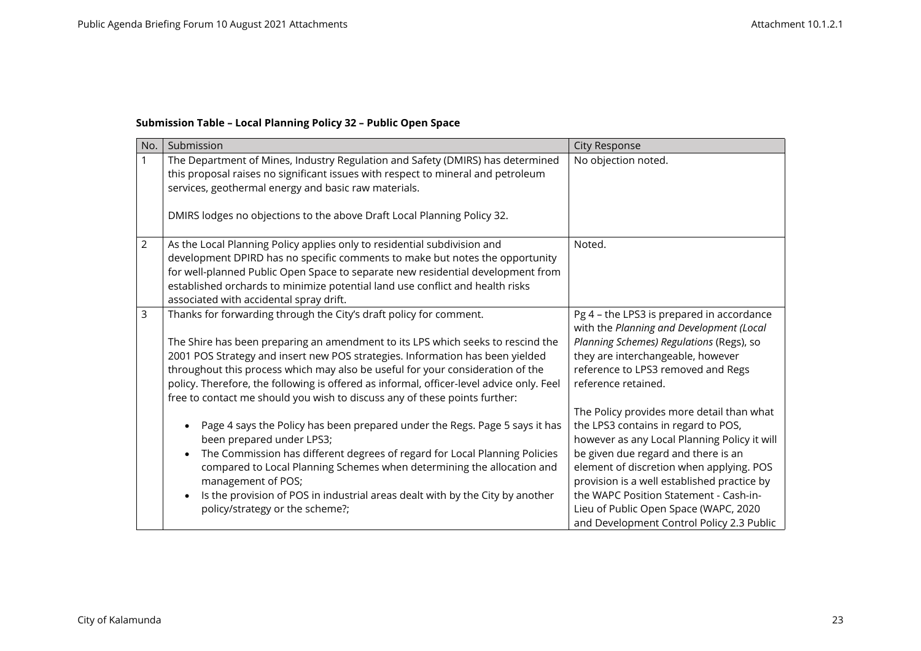## **Submission Table – Local Planning Policy 32 – Public Open Space**

| No.            | Submission                                                                                                                                                                                                                                                                                                                                                              | <b>City Response</b>                                                                                                                                                                                                |
|----------------|-------------------------------------------------------------------------------------------------------------------------------------------------------------------------------------------------------------------------------------------------------------------------------------------------------------------------------------------------------------------------|---------------------------------------------------------------------------------------------------------------------------------------------------------------------------------------------------------------------|
| 1              | The Department of Mines, Industry Regulation and Safety (DMIRS) has determined<br>this proposal raises no significant issues with respect to mineral and petroleum<br>services, geothermal energy and basic raw materials.<br>DMIRS lodges no objections to the above Draft Local Planning Policy 32.                                                                   | No objection noted.                                                                                                                                                                                                 |
|                |                                                                                                                                                                                                                                                                                                                                                                         |                                                                                                                                                                                                                     |
| $\overline{2}$ | As the Local Planning Policy applies only to residential subdivision and<br>development DPIRD has no specific comments to make but notes the opportunity<br>for well-planned Public Open Space to separate new residential development from<br>established orchards to minimize potential land use conflict and health risks<br>associated with accidental spray drift. | Noted.                                                                                                                                                                                                              |
| 3              | Thanks for forwarding through the City's draft policy for comment.<br>The Shire has been preparing an amendment to its LPS which seeks to rescind the<br>2001 POS Strategy and insert new POS strategies. Information has been yielded                                                                                                                                  | Pg 4 - the LPS3 is prepared in accordance<br>with the Planning and Development (Local<br>Planning Schemes) Regulations (Regs), so<br>they are interchangeable, however                                              |
|                | throughout this process which may also be useful for your consideration of the<br>policy. Therefore, the following is offered as informal, officer-level advice only. Feel<br>free to contact me should you wish to discuss any of these points further:                                                                                                                | reference to LPS3 removed and Regs<br>reference retained.                                                                                                                                                           |
|                | Page 4 says the Policy has been prepared under the Regs. Page 5 says it has<br>been prepared under LPS3;<br>The Commission has different degrees of regard for Local Planning Policies<br>compared to Local Planning Schemes when determining the allocation and                                                                                                        | The Policy provides more detail than what<br>the LPS3 contains in regard to POS,<br>however as any Local Planning Policy it will<br>be given due regard and there is an<br>element of discretion when applying. POS |
|                | management of POS;<br>Is the provision of POS in industrial areas dealt with by the City by another<br>policy/strategy or the scheme?;                                                                                                                                                                                                                                  | provision is a well established practice by<br>the WAPC Position Statement - Cash-in-<br>Lieu of Public Open Space (WAPC, 2020<br>and Development Control Policy 2.3 Public                                         |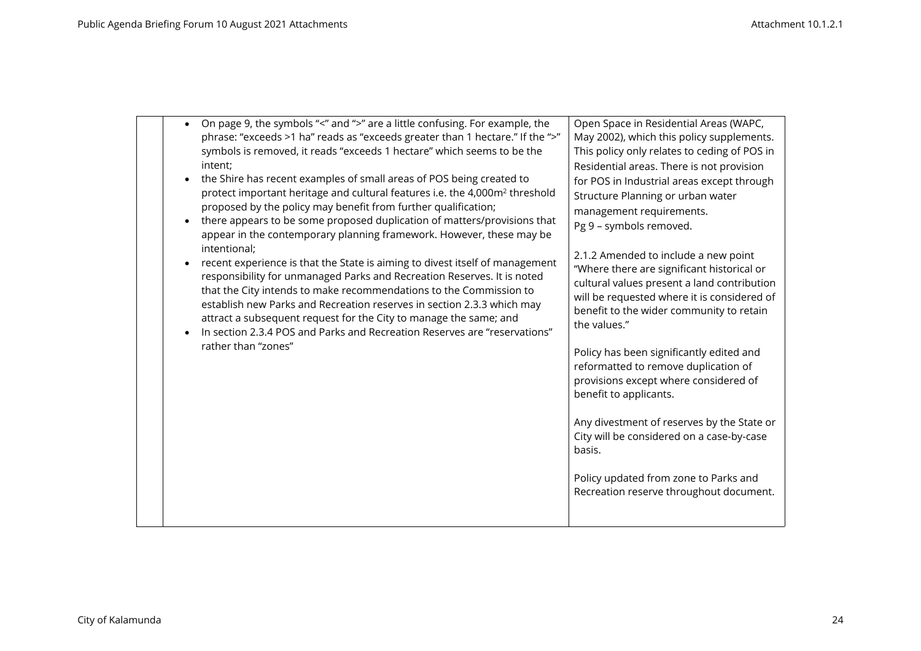| On page 9, the symbols "<" and ">" are a little confusing. For example, the<br>phrase: "exceeds >1 ha" reads as "exceeds greater than 1 hectare." If the ">"<br>symbols is removed, it reads "exceeds 1 hectare" which seems to be the<br>intent;<br>the Shire has recent examples of small areas of POS being created to<br>protect important heritage and cultural features i.e. the 4,000m <sup>2</sup> threshold<br>proposed by the policy may benefit from further qualification;<br>there appears to be some proposed duplication of matters/provisions that<br>appear in the contemporary planning framework. However, these may be<br>intentional;<br>recent experience is that the State is aiming to divest itself of management<br>responsibility for unmanaged Parks and Recreation Reserves. It is noted<br>that the City intends to make recommendations to the Commission to<br>establish new Parks and Recreation reserves in section 2.3.3 which may<br>attract a subsequent request for the City to manage the same; and<br>In section 2.3.4 POS and Parks and Recreation Reserves are "reservations"<br>rather than "zones" | Open Space in Residential Areas (WAPC,<br>May 2002), which this policy supplements.<br>This policy only relates to ceding of POS in<br>Residential areas. There is not provision<br>for POS in Industrial areas except through<br>Structure Planning or urban water<br>management requirements.<br>Pg 9 - symbols removed.<br>2.1.2 Amended to include a new point<br>"Where there are significant historical or<br>cultural values present a land contribution<br>will be requested where it is considered of<br>benefit to the wider community to retain<br>the values."<br>Policy has been significantly edited and<br>reformatted to remove duplication of<br>provisions except where considered of<br>benefit to applicants.<br>Any divestment of reserves by the State or<br>City will be considered on a case-by-case<br>basis.<br>Policy updated from zone to Parks and<br>Recreation reserve throughout document. |
|------------------------------------------------------------------------------------------------------------------------------------------------------------------------------------------------------------------------------------------------------------------------------------------------------------------------------------------------------------------------------------------------------------------------------------------------------------------------------------------------------------------------------------------------------------------------------------------------------------------------------------------------------------------------------------------------------------------------------------------------------------------------------------------------------------------------------------------------------------------------------------------------------------------------------------------------------------------------------------------------------------------------------------------------------------------------------------------------------------------------------------------------|----------------------------------------------------------------------------------------------------------------------------------------------------------------------------------------------------------------------------------------------------------------------------------------------------------------------------------------------------------------------------------------------------------------------------------------------------------------------------------------------------------------------------------------------------------------------------------------------------------------------------------------------------------------------------------------------------------------------------------------------------------------------------------------------------------------------------------------------------------------------------------------------------------------------------|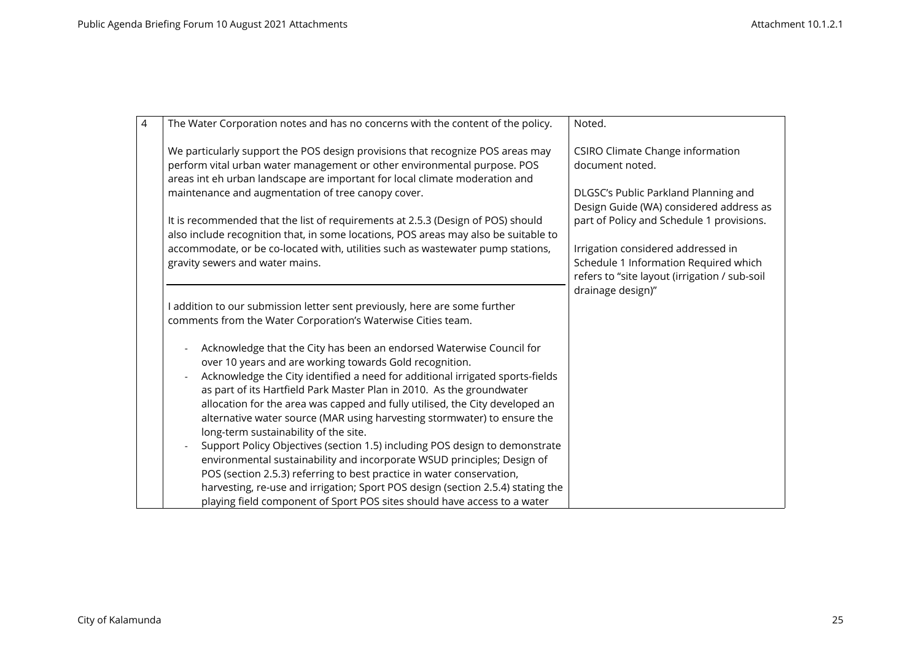| $\overline{4}$ | The Water Corporation notes and has no concerns with the content of the policy.                                                                                                                                                                                                                                    | Noted.                                                                                                                                            |
|----------------|--------------------------------------------------------------------------------------------------------------------------------------------------------------------------------------------------------------------------------------------------------------------------------------------------------------------|---------------------------------------------------------------------------------------------------------------------------------------------------|
|                | We particularly support the POS design provisions that recognize POS areas may<br>perform vital urban water management or other environmental purpose. POS<br>areas int eh urban landscape are important for local climate moderation and<br>maintenance and augmentation of tree canopy cover.                    | <b>CSIRO Climate Change information</b><br>document noted.<br>DLGSC's Public Parkland Planning and                                                |
|                | It is recommended that the list of requirements at 2.5.3 (Design of POS) should<br>also include recognition that, in some locations, POS areas may also be suitable to                                                                                                                                             | Design Guide (WA) considered address as<br>part of Policy and Schedule 1 provisions.                                                              |
|                | accommodate, or be co-located with, utilities such as wastewater pump stations,<br>gravity sewers and water mains.                                                                                                                                                                                                 | Irrigation considered addressed in<br>Schedule 1 Information Required which<br>refers to "site layout (irrigation / sub-soil<br>drainage design)" |
|                | I addition to our submission letter sent previously, here are some further<br>comments from the Water Corporation's Waterwise Cities team.                                                                                                                                                                         |                                                                                                                                                   |
|                | Acknowledge that the City has been an endorsed Waterwise Council for<br>over 10 years and are working towards Gold recognition.<br>Acknowledge the City identified a need for additional irrigated sports-fields<br>as part of its Hartfield Park Master Plan in 2010. As the groundwater                          |                                                                                                                                                   |
|                | allocation for the area was capped and fully utilised, the City developed an<br>alternative water source (MAR using harvesting stormwater) to ensure the<br>long-term sustainability of the site.                                                                                                                  |                                                                                                                                                   |
|                | Support Policy Objectives (section 1.5) including POS design to demonstrate<br>environmental sustainability and incorporate WSUD principles; Design of<br>POS (section 2.5.3) referring to best practice in water conservation,<br>harvesting, re-use and irrigation; Sport POS design (section 2.5.4) stating the |                                                                                                                                                   |
|                | playing field component of Sport POS sites should have access to a water                                                                                                                                                                                                                                           |                                                                                                                                                   |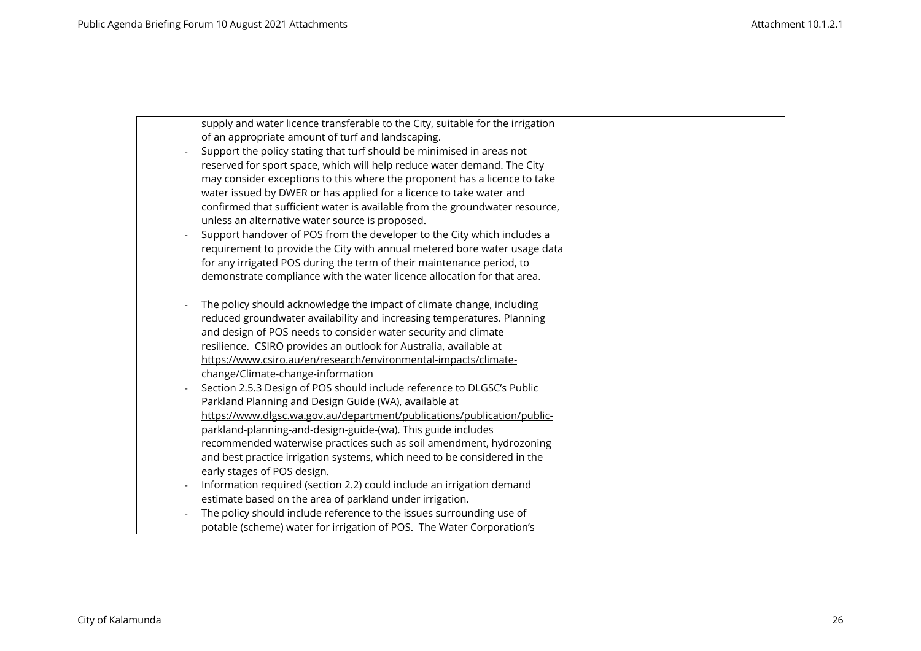| supply and water licence transferable to the City, suitable for the irrigation                                                      |  |
|-------------------------------------------------------------------------------------------------------------------------------------|--|
| of an appropriate amount of turf and landscaping.                                                                                   |  |
| Support the policy stating that turf should be minimised in areas not                                                               |  |
| reserved for sport space, which will help reduce water demand. The City                                                             |  |
| may consider exceptions to this where the proponent has a licence to take                                                           |  |
| water issued by DWER or has applied for a licence to take water and                                                                 |  |
| confirmed that sufficient water is available from the groundwater resource,                                                         |  |
| unless an alternative water source is proposed.                                                                                     |  |
| Support handover of POS from the developer to the City which includes a                                                             |  |
| requirement to provide the City with annual metered bore water usage data                                                           |  |
| for any irrigated POS during the term of their maintenance period, to                                                               |  |
| demonstrate compliance with the water licence allocation for that area.                                                             |  |
|                                                                                                                                     |  |
| The policy should acknowledge the impact of climate change, including                                                               |  |
| reduced groundwater availability and increasing temperatures. Planning                                                              |  |
| and design of POS needs to consider water security and climate                                                                      |  |
| resilience. CSIRO provides an outlook for Australia, available at                                                                   |  |
| https://www.csiro.au/en/research/environmental-impacts/climate-                                                                     |  |
| change/Climate-change-information                                                                                                   |  |
| Section 2.5.3 Design of POS should include reference to DLGSC's Public                                                              |  |
| Parkland Planning and Design Guide (WA), available at                                                                               |  |
| https://www.dlgsc.wa.gov.au/department/publications/publication/public-                                                             |  |
| parkland-planning-and-design-guide-(wa). This guide includes<br>recommended waterwise practices such as soil amendment, hydrozoning |  |
|                                                                                                                                     |  |
| and best practice irrigation systems, which need to be considered in the                                                            |  |
| early stages of POS design.                                                                                                         |  |
| Information required (section 2.2) could include an irrigation demand                                                               |  |
| estimate based on the area of parkland under irrigation.                                                                            |  |
| The policy should include reference to the issues surrounding use of                                                                |  |
| potable (scheme) water for irrigation of POS. The Water Corporation's                                                               |  |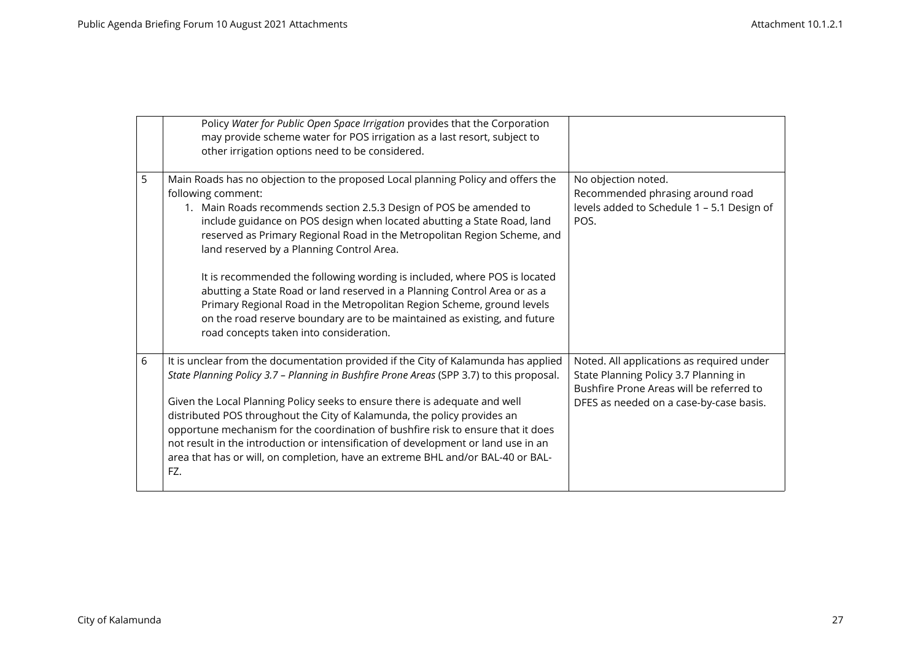|   | Policy Water for Public Open Space Irrigation provides that the Corporation<br>may provide scheme water for POS irrigation as a last resort, subject to<br>other irrigation options need to be considered.                                                                                                                                                                                                                                                                                                                                                                                                                                                                                                                                   |                                                                                                                                                                           |
|---|----------------------------------------------------------------------------------------------------------------------------------------------------------------------------------------------------------------------------------------------------------------------------------------------------------------------------------------------------------------------------------------------------------------------------------------------------------------------------------------------------------------------------------------------------------------------------------------------------------------------------------------------------------------------------------------------------------------------------------------------|---------------------------------------------------------------------------------------------------------------------------------------------------------------------------|
| 5 | Main Roads has no objection to the proposed Local planning Policy and offers the<br>following comment:<br>1. Main Roads recommends section 2.5.3 Design of POS be amended to<br>include guidance on POS design when located abutting a State Road, land<br>reserved as Primary Regional Road in the Metropolitan Region Scheme, and<br>land reserved by a Planning Control Area.<br>It is recommended the following wording is included, where POS is located<br>abutting a State Road or land reserved in a Planning Control Area or as a<br>Primary Regional Road in the Metropolitan Region Scheme, ground levels<br>on the road reserve boundary are to be maintained as existing, and future<br>road concepts taken into consideration. | No objection noted.<br>Recommended phrasing around road<br>levels added to Schedule 1 - 5.1 Design of<br>POS.                                                             |
| 6 | It is unclear from the documentation provided if the City of Kalamunda has applied<br>State Planning Policy 3.7 - Planning in Bushfire Prone Areas (SPP 3.7) to this proposal.<br>Given the Local Planning Policy seeks to ensure there is adequate and well<br>distributed POS throughout the City of Kalamunda, the policy provides an<br>opportune mechanism for the coordination of bushfire risk to ensure that it does<br>not result in the introduction or intensification of development or land use in an<br>area that has or will, on completion, have an extreme BHL and/or BAL-40 or BAL-<br>FZ.                                                                                                                                 | Noted. All applications as required under<br>State Planning Policy 3.7 Planning in<br>Bushfire Prone Areas will be referred to<br>DFES as needed on a case-by-case basis. |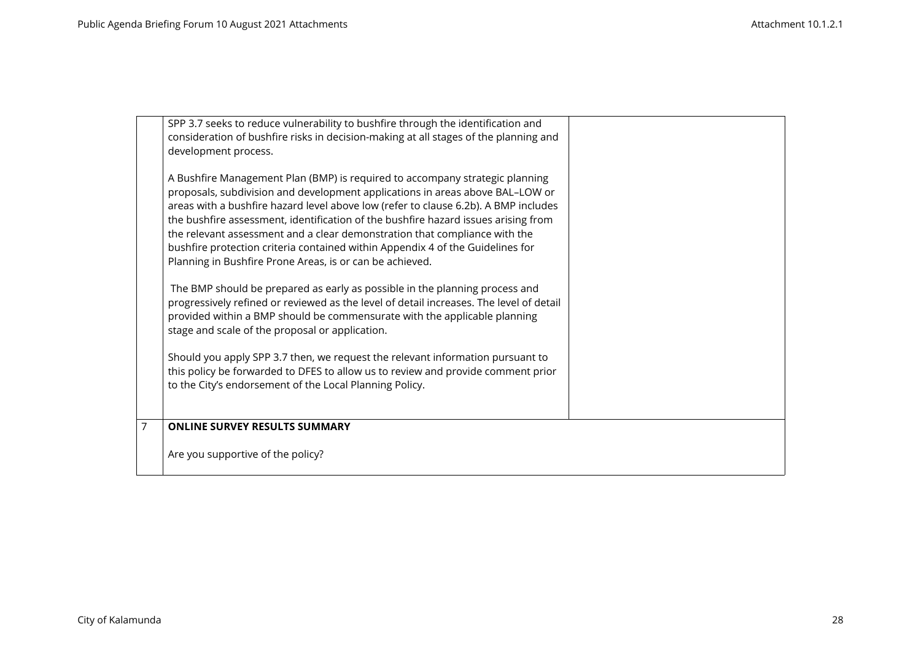|   | SPP 3.7 seeks to reduce vulnerability to bushfire through the identification and<br>consideration of bushfire risks in decision-making at all stages of the planning and<br>development process.<br>A Bushfire Management Plan (BMP) is required to accompany strategic planning<br>proposals, subdivision and development applications in areas above BAL-LOW or<br>areas with a bushfire hazard level above low (refer to clause 6.2b). A BMP includes<br>the bushfire assessment, identification of the bushfire hazard issues arising from<br>the relevant assessment and a clear demonstration that compliance with the<br>bushfire protection criteria contained within Appendix 4 of the Guidelines for<br>Planning in Bushfire Prone Areas, is or can be achieved.<br>The BMP should be prepared as early as possible in the planning process and<br>progressively refined or reviewed as the level of detail increases. The level of detail<br>provided within a BMP should be commensurate with the applicable planning<br>stage and scale of the proposal or application.<br>Should you apply SPP 3.7 then, we request the relevant information pursuant to<br>this policy be forwarded to DFES to allow us to review and provide comment prior<br>to the City's endorsement of the Local Planning Policy. |  |
|---|-----------------------------------------------------------------------------------------------------------------------------------------------------------------------------------------------------------------------------------------------------------------------------------------------------------------------------------------------------------------------------------------------------------------------------------------------------------------------------------------------------------------------------------------------------------------------------------------------------------------------------------------------------------------------------------------------------------------------------------------------------------------------------------------------------------------------------------------------------------------------------------------------------------------------------------------------------------------------------------------------------------------------------------------------------------------------------------------------------------------------------------------------------------------------------------------------------------------------------------------------------------------------------------------------------------------------|--|
| 7 | <b>ONLINE SURVEY RESULTS SUMMARY</b><br>Are you supportive of the policy?                                                                                                                                                                                                                                                                                                                                                                                                                                                                                                                                                                                                                                                                                                                                                                                                                                                                                                                                                                                                                                                                                                                                                                                                                                             |  |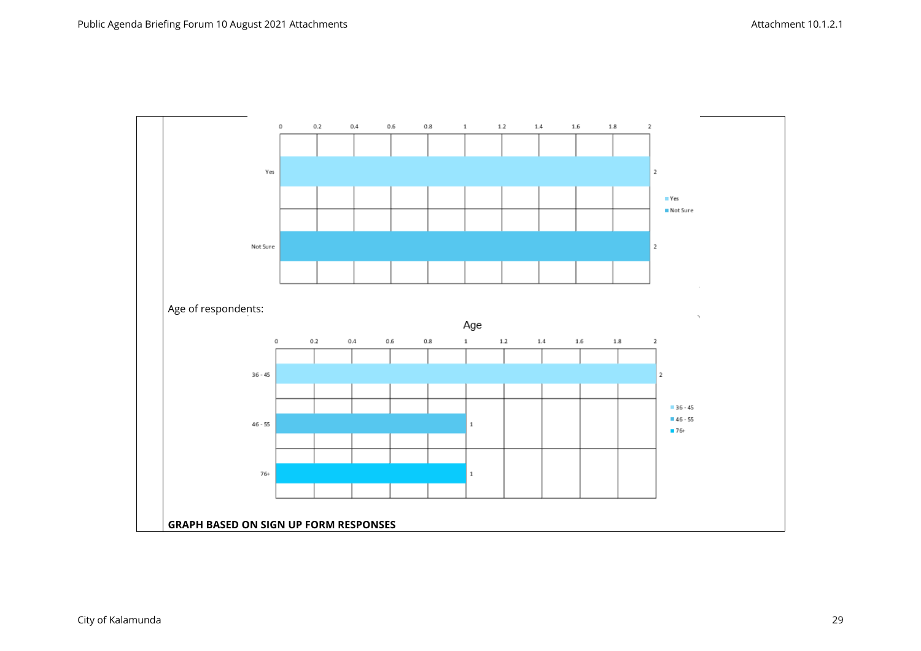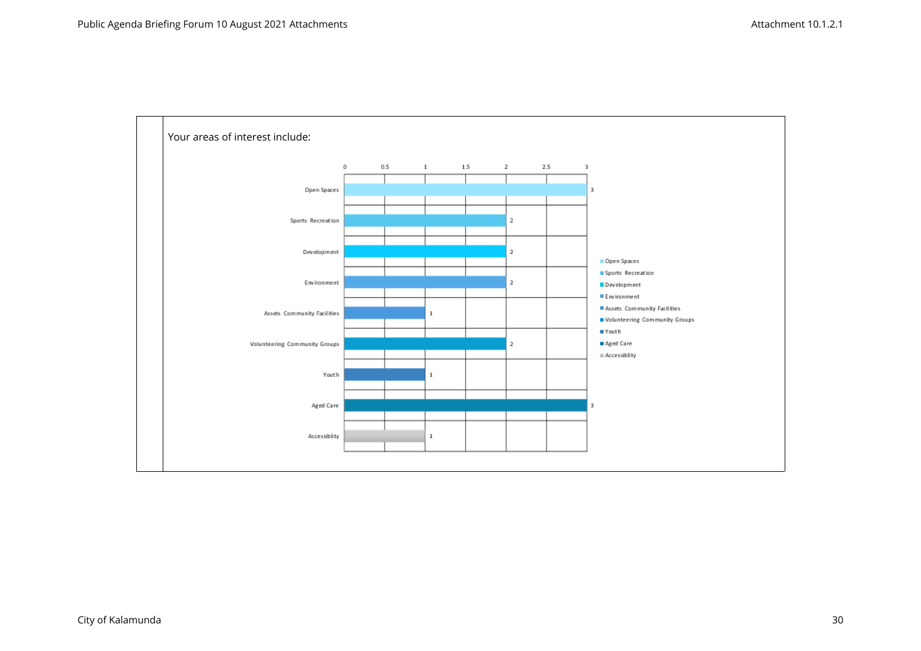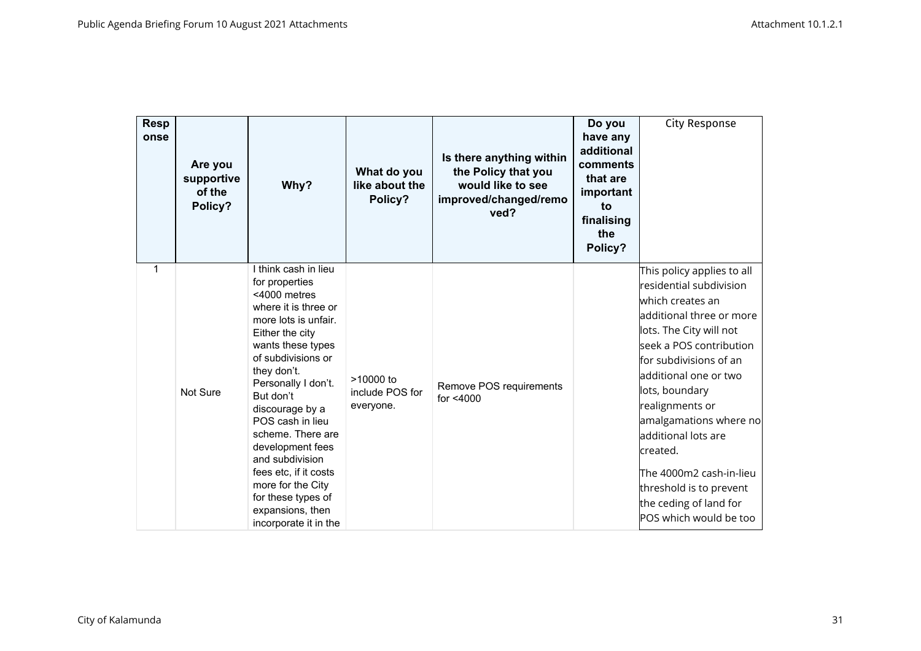| <b>Resp</b><br>onse | Are you<br>supportive<br>of the<br>Policy? | Why?                                                                                                                                                                                                                                                                                                                                                                                                                                        | What do you<br>like about the<br>Policy?    | Is there anything within<br>the Policy that you<br>would like to see<br>improved/changed/remo<br>ved? | Do you<br>have any<br>additional<br>comments<br>that are<br>important<br>to<br>finalising<br>the<br>Policy? | City Response                                                                                                                                                                                                                                                                                                                                                                                                              |
|---------------------|--------------------------------------------|---------------------------------------------------------------------------------------------------------------------------------------------------------------------------------------------------------------------------------------------------------------------------------------------------------------------------------------------------------------------------------------------------------------------------------------------|---------------------------------------------|-------------------------------------------------------------------------------------------------------|-------------------------------------------------------------------------------------------------------------|----------------------------------------------------------------------------------------------------------------------------------------------------------------------------------------------------------------------------------------------------------------------------------------------------------------------------------------------------------------------------------------------------------------------------|
| 1                   | Not Sure                                   | I think cash in lieu<br>for properties<br><4000 metres<br>where it is three or<br>more lots is unfair.<br>Either the city<br>wants these types<br>of subdivisions or<br>they don't.<br>Personally I don't.<br>But don't<br>discourage by a<br>POS cash in lieu<br>scheme. There are<br>development fees<br>and subdivision<br>fees etc, if it costs<br>more for the City<br>for these types of<br>expansions, then<br>incorporate it in the | $>10000$ to<br>include POS for<br>everyone. | Remove POS requirements<br>for <4000                                                                  |                                                                                                             | This policy applies to all<br>residential subdivision<br>which creates an<br>additional three or more<br>lots. The City will not<br>seek a POS contribution<br>for subdivisions of an<br>additional one or two<br>lots, boundary<br>realignments or<br>amalgamations where no<br>additional lots are<br>created.<br>The 4000m2 cash-in-lieu<br>threshold is to prevent<br>the ceding of land for<br>POS which would be too |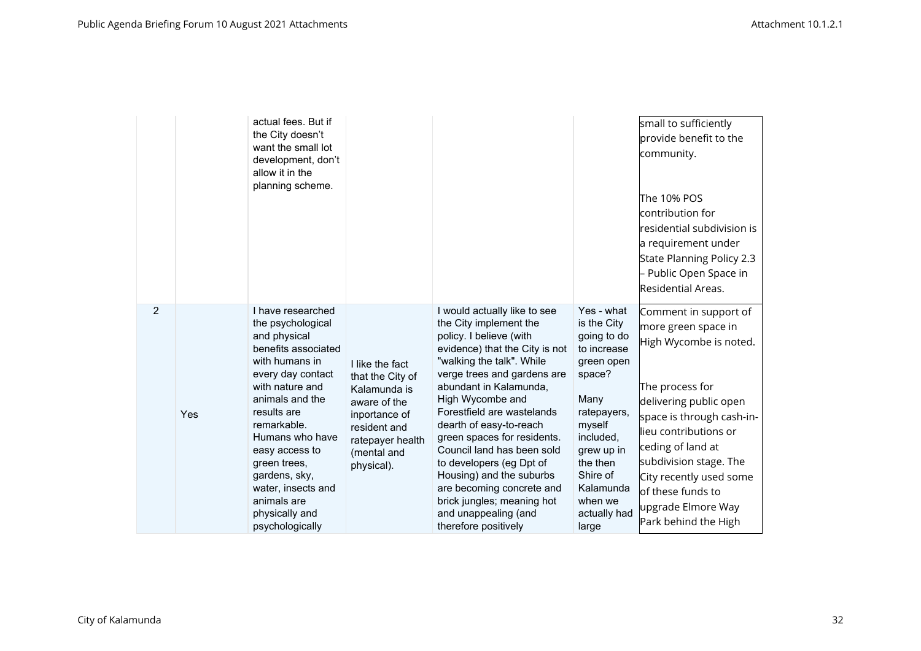|   |     | actual fees. But if<br>the City doesn't<br>want the small lot<br>development, don't<br>allow it in the<br>planning scheme.                                                                                                                                                                                                               |                                                                                                                                                       |                                                                                                                                                                                                                                                                                                                                                                                                                                                                                                                        |                                                                                                                                                                                                                      | small to sufficiently<br>provide benefit to the<br>community.<br>The 10% POS<br>contribution for<br>residential subdivision is<br>a requirement under<br>State Planning Policy 2.3<br>Public Open Space in<br>Residential Areas.                                                                                        |
|---|-----|------------------------------------------------------------------------------------------------------------------------------------------------------------------------------------------------------------------------------------------------------------------------------------------------------------------------------------------|-------------------------------------------------------------------------------------------------------------------------------------------------------|------------------------------------------------------------------------------------------------------------------------------------------------------------------------------------------------------------------------------------------------------------------------------------------------------------------------------------------------------------------------------------------------------------------------------------------------------------------------------------------------------------------------|----------------------------------------------------------------------------------------------------------------------------------------------------------------------------------------------------------------------|-------------------------------------------------------------------------------------------------------------------------------------------------------------------------------------------------------------------------------------------------------------------------------------------------------------------------|
| 2 | Yes | I have researched<br>the psychological<br>and physical<br>benefits associated<br>with humans in<br>every day contact<br>with nature and<br>animals and the<br>results are<br>remarkable.<br>Humans who have<br>easy access to<br>green trees,<br>gardens, sky,<br>water, insects and<br>animals are<br>physically and<br>psychologically | I like the fact<br>that the City of<br>Kalamunda is<br>aware of the<br>inportance of<br>resident and<br>ratepayer health<br>(mental and<br>physical). | I would actually like to see<br>the City implement the<br>policy. I believe (with<br>evidence) that the City is not<br>"walking the talk". While<br>verge trees and gardens are<br>abundant in Kalamunda,<br>High Wycombe and<br>Forestfield are wastelands<br>dearth of easy-to-reach<br>green spaces for residents.<br>Council land has been sold<br>to developers (eg Dpt of<br>Housing) and the suburbs<br>are becoming concrete and<br>brick jungles; meaning hot<br>and unappealing (and<br>therefore positively | Yes - what<br>is the City<br>going to do<br>to increase<br>green open<br>space?<br>Many<br>ratepayers,<br>myself<br>included,<br>grew up in<br>the then<br>Shire of<br>Kalamunda<br>when we<br>actually had<br>large | Comment in support of<br>more green space in<br>High Wycombe is noted.<br>The process for<br>delivering public open<br>space is through cash-in-<br>lieu contributions or<br>ceding of land at<br>subdivision stage. The<br>City recently used some<br>lof these funds to<br>upgrade Elmore Way<br>Park behind the High |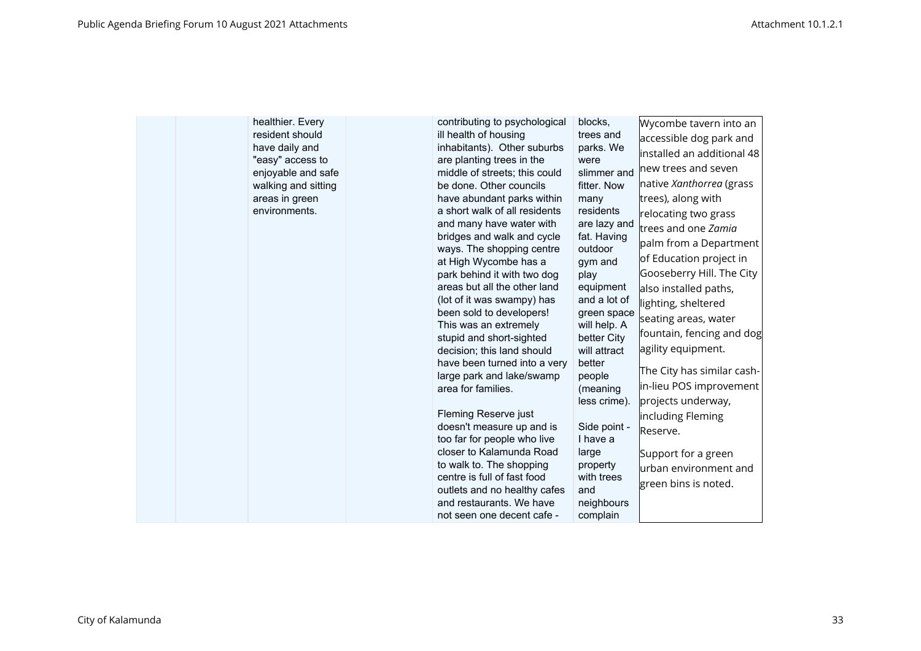| healthier. Every<br>resident should<br>have daily and<br>"easy" access to<br>enjoyable and safe<br>walking and sitting<br>areas in green<br>environments. | contributing to psychological<br>ill health of housing<br>inhabitants). Other suburbs<br>are planting trees in the<br>middle of streets; this could<br>be done. Other councils<br>have abundant parks within<br>a short walk of all residents<br>and many have water with<br>bridges and walk and cycle<br>ways. The shopping centre<br>at High Wycombe has a<br>park behind it with two dog<br>areas but all the other land<br>(lot of it was swampy) has<br>been sold to developers!<br>This was an extremely<br>stupid and short-sighted<br>decision; this land should<br>have been turned into a very<br>large park and lake/swamp<br>area for families.<br>Fleming Reserve just<br>doesn't measure up and is<br>too far for people who live<br>closer to Kalamunda Road<br>to walk to. The shopping<br>centre is full of fast food<br>outlets and no healthy cafes<br>and restaurants. We have<br>not seen one decent cafe - | blocks,<br>trees and<br>parks. We<br>were<br>slimmer and<br>fitter. Now<br>many<br>residents<br>are lazy and<br>fat. Having<br>outdoor<br>gym and<br>play<br>equipment<br>and a lot of<br>green space<br>will help. A<br>better City<br>will attract<br>better<br>people<br>(meaning<br>less crime).<br>Side point -<br>I have a<br>large<br>property<br>with trees<br>and<br>neighbours<br>complain | Wycombe tavern into an<br>accessible dog park and<br>installed an additional 48<br>new trees and seven<br>native Xanthorrea (grass<br>trees), along with<br>relocating two grass<br>trees and one Zamia<br>palm from a Department<br>of Education project in<br>Gooseberry Hill. The City<br>also installed paths,<br>lighting, sheltered<br>seating areas, water<br>fountain, fencing and dog<br>agility equipment.<br>The City has similar cash-<br>in-lieu POS improvement<br>projects underway,<br>including Fleming<br>Reserve.<br>Support for a green<br>urban environment and<br>green bins is noted. |
|-----------------------------------------------------------------------------------------------------------------------------------------------------------|-----------------------------------------------------------------------------------------------------------------------------------------------------------------------------------------------------------------------------------------------------------------------------------------------------------------------------------------------------------------------------------------------------------------------------------------------------------------------------------------------------------------------------------------------------------------------------------------------------------------------------------------------------------------------------------------------------------------------------------------------------------------------------------------------------------------------------------------------------------------------------------------------------------------------------------|------------------------------------------------------------------------------------------------------------------------------------------------------------------------------------------------------------------------------------------------------------------------------------------------------------------------------------------------------------------------------------------------------|--------------------------------------------------------------------------------------------------------------------------------------------------------------------------------------------------------------------------------------------------------------------------------------------------------------------------------------------------------------------------------------------------------------------------------------------------------------------------------------------------------------------------------------------------------------------------------------------------------------|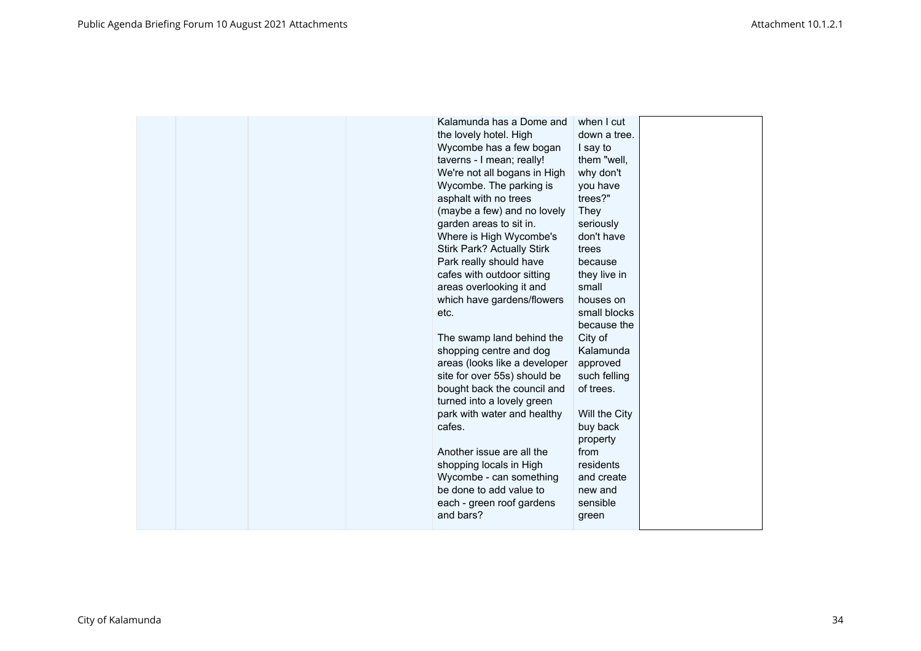| Kalamunda has a Dome and<br>the lovely hotel. High<br>Wycombe has a few bogan<br>taverns - I mean; really!<br>We're not all bogans in High<br>Wycombe. The parking is<br>asphalt with no trees<br>(maybe a few) and no lovely<br>garden areas to sit in.<br>Where is High Wycombe's<br><b>Stirk Park? Actually Stirk</b><br>Park really should have<br>cafes with outdoor sitting<br>areas overlooking it and<br>which have gardens/flowers<br>etc.<br>The swamp land behind the<br>shopping centre and dog<br>areas (looks like a developer<br>site for over 55s) should be<br>bought back the council and | when I cut<br>down a tree.<br>I say to<br>them "well,<br>why don't<br>you have<br>trees?"<br>They<br>seriously<br>don't have<br>trees<br>because<br>they live in<br>small<br>houses on<br>small blocks<br>because the<br>City of<br>Kalamunda<br>approved<br>such felling<br>of trees. |  |
|-------------------------------------------------------------------------------------------------------------------------------------------------------------------------------------------------------------------------------------------------------------------------------------------------------------------------------------------------------------------------------------------------------------------------------------------------------------------------------------------------------------------------------------------------------------------------------------------------------------|----------------------------------------------------------------------------------------------------------------------------------------------------------------------------------------------------------------------------------------------------------------------------------------|--|
| turned into a lovely green<br>park with water and healthy<br>cafes.<br>Another issue are all the<br>shopping locals in High<br>Wycombe - can something<br>be done to add value to<br>each - green roof gardens<br>and bars?                                                                                                                                                                                                                                                                                                                                                                                 | Will the City<br>buy back<br>property<br>from<br>residents<br>and create<br>new and<br>sensible<br>green                                                                                                                                                                               |  |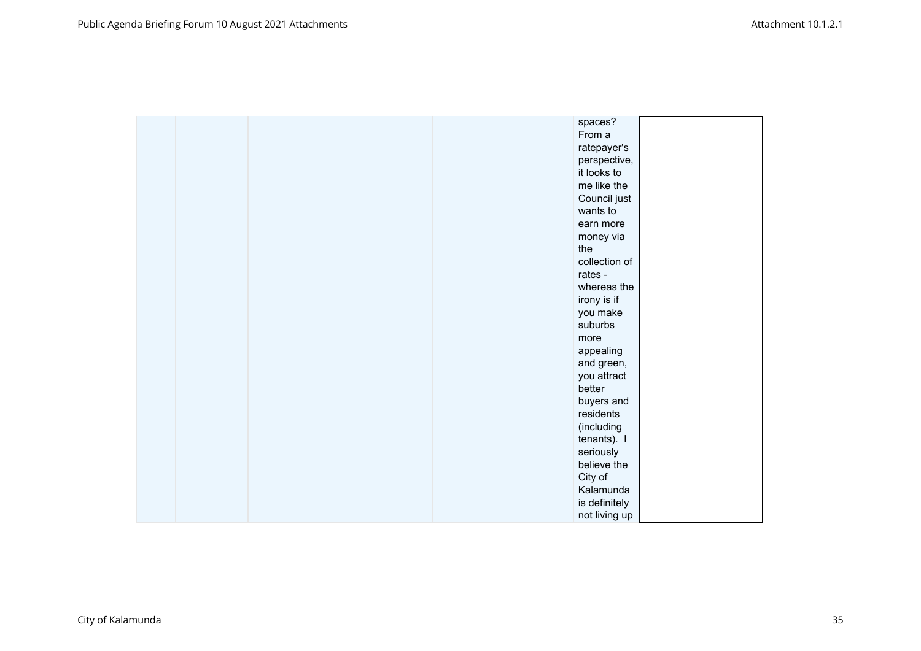|  |  | spaces?       |  |
|--|--|---------------|--|
|  |  | From a        |  |
|  |  | ratepayer's   |  |
|  |  | perspective,  |  |
|  |  | it looks to   |  |
|  |  | me like the   |  |
|  |  | Council just  |  |
|  |  | wants to      |  |
|  |  | earn more     |  |
|  |  | money via     |  |
|  |  | the           |  |
|  |  | collection of |  |
|  |  | rates -       |  |
|  |  | whereas the   |  |
|  |  | irony is if   |  |
|  |  | you make      |  |
|  |  | suburbs       |  |
|  |  | more          |  |
|  |  | appealing     |  |
|  |  | and green,    |  |
|  |  | you attract   |  |
|  |  | better        |  |
|  |  | buyers and    |  |
|  |  | residents     |  |
|  |  | (including    |  |
|  |  | tenants). I   |  |
|  |  | seriously     |  |
|  |  | believe the   |  |
|  |  | City of       |  |
|  |  | Kalamunda     |  |
|  |  | is definitely |  |
|  |  | not living up |  |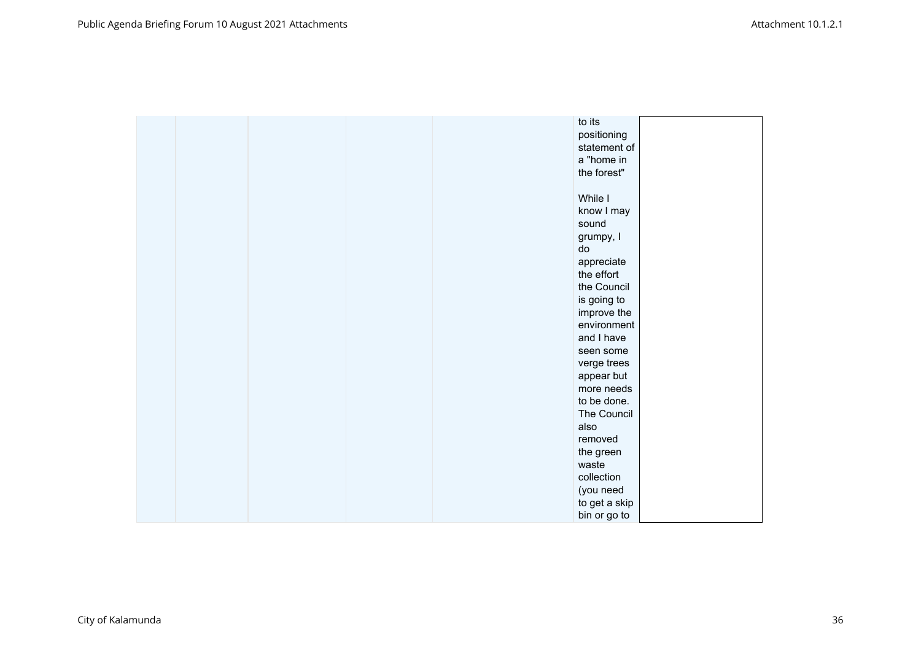|  |  | to its        |  |
|--|--|---------------|--|
|  |  | positioning   |  |
|  |  | statement of  |  |
|  |  | a "home in    |  |
|  |  | the forest"   |  |
|  |  |               |  |
|  |  | While I       |  |
|  |  | know I may    |  |
|  |  | sound         |  |
|  |  | grumpy, I     |  |
|  |  | do            |  |
|  |  | appreciate    |  |
|  |  | the effort    |  |
|  |  | the Council   |  |
|  |  | is going to   |  |
|  |  | improve the   |  |
|  |  | environment   |  |
|  |  | and I have    |  |
|  |  | seen some     |  |
|  |  | verge trees   |  |
|  |  | appear but    |  |
|  |  | more needs    |  |
|  |  | to be done.   |  |
|  |  | The Council   |  |
|  |  | also          |  |
|  |  | removed       |  |
|  |  | the green     |  |
|  |  | waste         |  |
|  |  | collection    |  |
|  |  | (you need     |  |
|  |  | to get a skip |  |
|  |  | bin or go to  |  |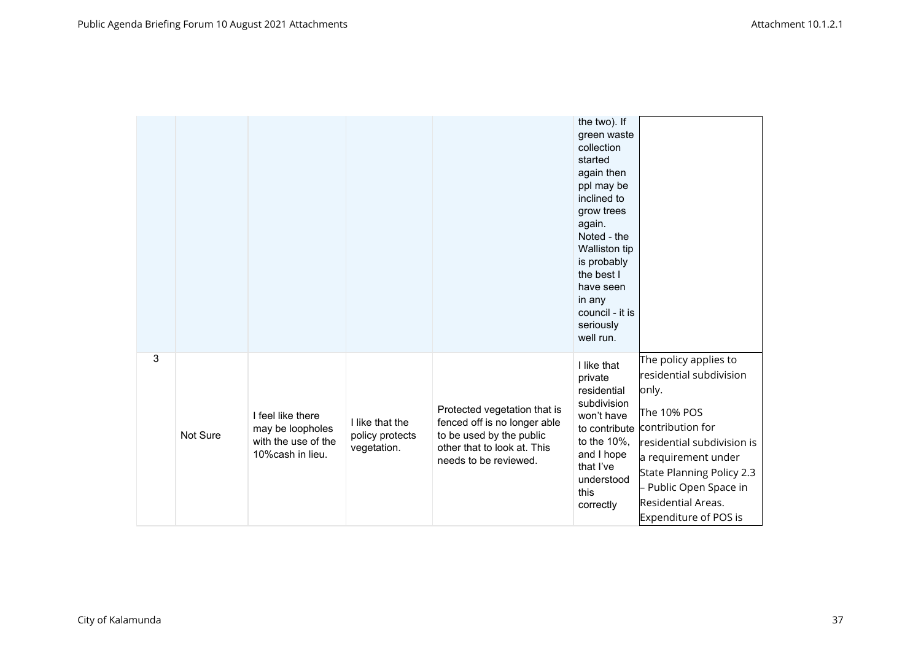|   |          |                                                                                   |                                                   |                                                                                                                                                  | the two). If<br>green waste<br>collection<br>started<br>again then<br>ppl may be<br>inclined to<br>grow trees<br>again.<br>Noted - the<br>Walliston tip<br>is probably<br>the best I<br>have seen<br>in any<br>council - it is<br>seriously<br>well run. |                                                                                                                                                                                                                                                                     |
|---|----------|-----------------------------------------------------------------------------------|---------------------------------------------------|--------------------------------------------------------------------------------------------------------------------------------------------------|----------------------------------------------------------------------------------------------------------------------------------------------------------------------------------------------------------------------------------------------------------|---------------------------------------------------------------------------------------------------------------------------------------------------------------------------------------------------------------------------------------------------------------------|
| 3 | Not Sure | I feel like there<br>may be loopholes<br>with the use of the<br>10% cash in lieu. | I like that the<br>policy protects<br>vegetation. | Protected vegetation that is<br>fenced off is no longer able<br>to be used by the public<br>other that to look at. This<br>needs to be reviewed. | I like that<br>private<br>residential<br>subdivision<br>won't have<br>to the 10%,<br>and I hope<br>that I've<br>understood<br>this<br>correctly                                                                                                          | The policy applies to<br>residential subdivision<br>only.<br>The 10% POS<br>to contribute contribution for<br>residential subdivision is<br>a requirement under<br>State Planning Policy 2.3<br>Public Open Space in<br>Residential Areas.<br>Expenditure of POS is |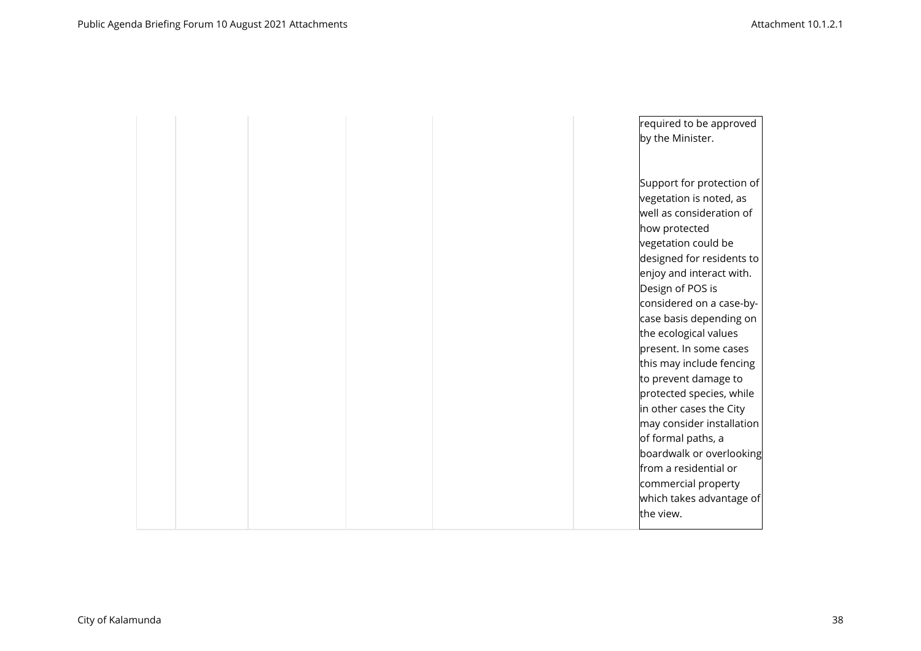